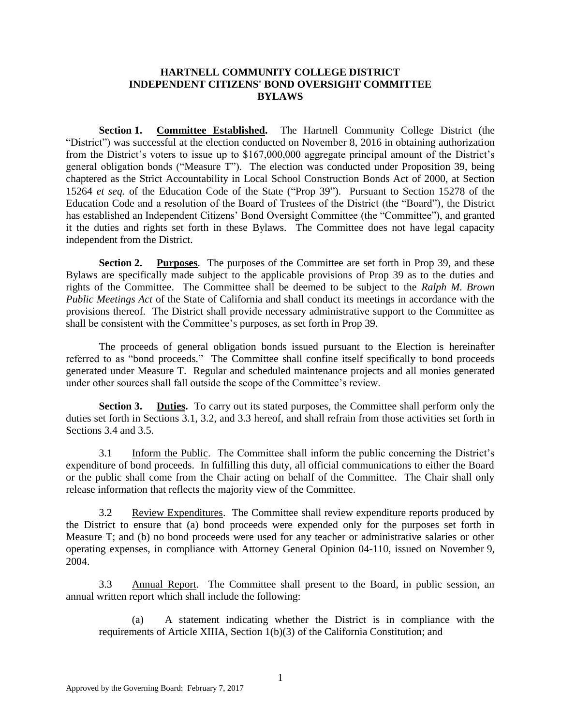### **HARTNELL COMMUNITY COLLEGE DISTRICT INDEPENDENT CITIZENS' BOND OVERSIGHT COMMITTEE BYLAWS**

**Section 1. Committee Established.** The Hartnell Community College District (the "District") was successful at the election conducted on November 8, 2016 in obtaining authorization from the District's voters to issue up to \$167,000,000 aggregate principal amount of the District's general obligation bonds ("Measure T"). The election was conducted under Proposition 39, being chaptered as the Strict Accountability in Local School Construction Bonds Act of 2000, at Section 15264 *et seq.* of the Education Code of the State ("Prop 39"). Pursuant to Section 15278 of the Education Code and a resolution of the Board of Trustees of the District (the "Board"), the District has established an Independent Citizens' Bond Oversight Committee (the "Committee"), and granted it the duties and rights set forth in these Bylaws. The Committee does not have legal capacity independent from the District.

**Section 2. Purposes**. The purposes of the Committee are set forth in Prop 39, and these Bylaws are specifically made subject to the applicable provisions of Prop 39 as to the duties and rights of the Committee. The Committee shall be deemed to be subject to the *Ralph M. Brown Public Meetings Act* of the State of California and shall conduct its meetings in accordance with the provisions thereof. The District shall provide necessary administrative support to the Committee as shall be consistent with the Committee's purposes, as set forth in Prop 39.

The proceeds of general obligation bonds issued pursuant to the Election is hereinafter referred to as "bond proceeds." The Committee shall confine itself specifically to bond proceeds generated under Measure T. Regular and scheduled maintenance projects and all monies generated under other sources shall fall outside the scope of the Committee's review.

**Section 3. Duties.** To carry out its stated purposes, the Committee shall perform only the duties set forth in Sections 3.1, 3.2, and 3.3 hereof, and shall refrain from those activities set forth in Sections 3.4 and 3.5.

3.1 Inform the Public. The Committee shall inform the public concerning the District's expenditure of bond proceeds. In fulfilling this duty, all official communications to either the Board or the public shall come from the Chair acting on behalf of the Committee. The Chair shall only release information that reflects the majority view of the Committee.

3.2 Review Expenditures. The Committee shall review expenditure reports produced by the District to ensure that (a) bond proceeds were expended only for the purposes set forth in Measure T; and (b) no bond proceeds were used for any teacher or administrative salaries or other operating expenses, in compliance with Attorney General Opinion 04-110, issued on November 9, 2004.

3.3 Annual Report. The Committee shall present to the Board, in public session, an annual written report which shall include the following:

(a) A statement indicating whether the District is in compliance with the requirements of Article XIIIA, Section 1(b)(3) of the California Constitution; and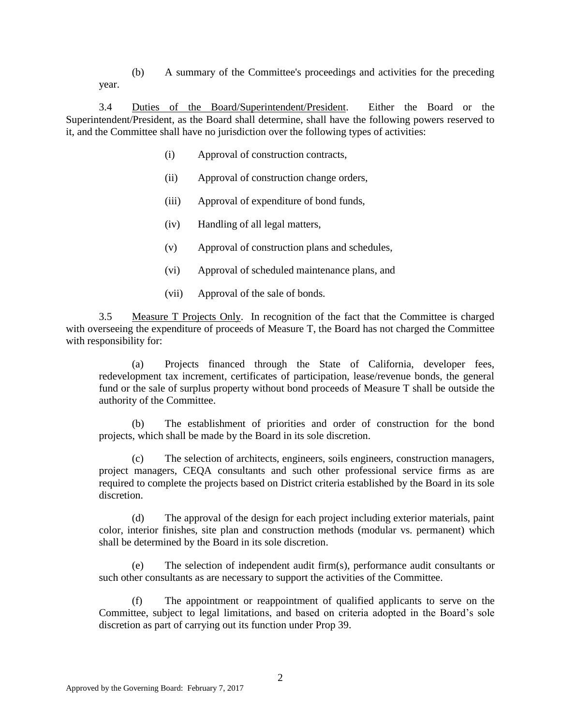(b) A summary of the Committee's proceedings and activities for the preceding year.

3.4 Duties of the Board/Superintendent/President. Either the Board or the Superintendent/President, as the Board shall determine, shall have the following powers reserved to it, and the Committee shall have no jurisdiction over the following types of activities:

- (i) Approval of construction contracts,
- (ii) Approval of construction change orders,
- (iii) Approval of expenditure of bond funds,
- (iv) Handling of all legal matters,
- (v) Approval of construction plans and schedules,
- (vi) Approval of scheduled maintenance plans, and
- (vii) Approval of the sale of bonds.

3.5 Measure T Projects Only. In recognition of the fact that the Committee is charged with overseeing the expenditure of proceeds of Measure T, the Board has not charged the Committee with responsibility for:

(a) Projects financed through the State of California, developer fees, redevelopment tax increment, certificates of participation, lease/revenue bonds, the general fund or the sale of surplus property without bond proceeds of Measure T shall be outside the authority of the Committee.

(b) The establishment of priorities and order of construction for the bond projects, which shall be made by the Board in its sole discretion.

(c) The selection of architects, engineers, soils engineers, construction managers, project managers, CEQA consultants and such other professional service firms as are required to complete the projects based on District criteria established by the Board in its sole discretion.

(d) The approval of the design for each project including exterior materials, paint color, interior finishes, site plan and construction methods (modular vs. permanent) which shall be determined by the Board in its sole discretion.

(e) The selection of independent audit firm(s), performance audit consultants or such other consultants as are necessary to support the activities of the Committee.

(f) The appointment or reappointment of qualified applicants to serve on the Committee, subject to legal limitations, and based on criteria adopted in the Board's sole discretion as part of carrying out its function under Prop 39.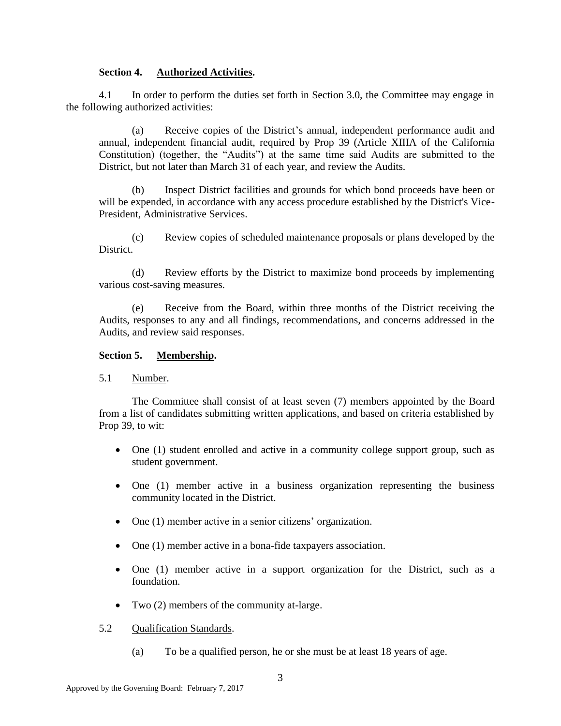#### **Section 4. Authorized Activities.**

4.1 In order to perform the duties set forth in Section 3.0, the Committee may engage in the following authorized activities:

(a) Receive copies of the District's annual, independent performance audit and annual, independent financial audit, required by Prop 39 (Article XIIIA of the California Constitution) (together, the "Audits") at the same time said Audits are submitted to the District, but not later than March 31 of each year, and review the Audits.

Inspect District facilities and grounds for which bond proceeds have been or will be expended, in accordance with any access procedure established by the District's Vice-President, Administrative Services.

(c) Review copies of scheduled maintenance proposals or plans developed by the District.

(d) Review efforts by the District to maximize bond proceeds by implementing various cost-saving measures.

(e) Receive from the Board, within three months of the District receiving the Audits, responses to any and all findings, recommendations, and concerns addressed in the Audits, and review said responses.

#### **Section 5. Membership.**

5.1 Number.

The Committee shall consist of at least seven (7) members appointed by the Board from a list of candidates submitting written applications, and based on criteria established by Prop 39, to wit:

- One (1) student enrolled and active in a community college support group, such as student government.
- One (1) member active in a business organization representing the business community located in the District.
- One (1) member active in a senior citizens' organization.
- One (1) member active in a bona-fide taxpayers association.
- One (1) member active in a support organization for the District, such as a foundation.
- Two (2) members of the community at-large.

#### 5.2 Qualification Standards.

(a) To be a qualified person, he or she must be at least 18 years of age.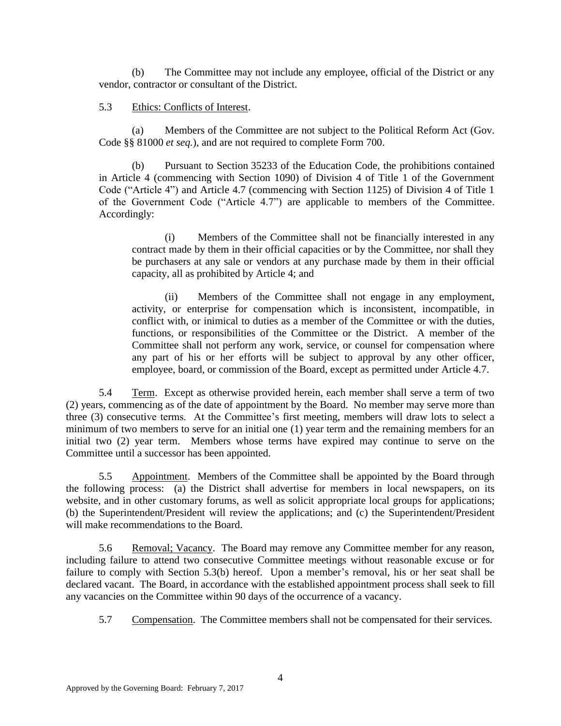(b) The Committee may not include any employee, official of the District or any vendor, contractor or consultant of the District.

### 5.3 Ethics: Conflicts of Interest.

(a) Members of the Committee are not subject to the Political Reform Act (Gov. Code §§ 81000 *et seq.*), and are not required to complete Form 700.

(b) Pursuant to Section 35233 of the Education Code, the prohibitions contained in Article 4 (commencing with Section 1090) of Division 4 of Title 1 of the Government Code ("Article 4") and Article 4.7 (commencing with Section 1125) of Division 4 of Title 1 of the Government Code ("Article 4.7") are applicable to members of the Committee. Accordingly:

(i) Members of the Committee shall not be financially interested in any contract made by them in their official capacities or by the Committee, nor shall they be purchasers at any sale or vendors at any purchase made by them in their official capacity, all as prohibited by Article 4; and

(ii) Members of the Committee shall not engage in any employment, activity, or enterprise for compensation which is inconsistent, incompatible, in conflict with, or inimical to duties as a member of the Committee or with the duties, functions, or responsibilities of the Committee or the District. A member of the Committee shall not perform any work, service, or counsel for compensation where any part of his or her efforts will be subject to approval by any other officer, employee, board, or commission of the Board, except as permitted under Article 4.7.

5.4 Term. Except as otherwise provided herein, each member shall serve a term of two (2) years, commencing as of the date of appointment by the Board. No member may serve more than three (3) consecutive terms. At the Committee's first meeting, members will draw lots to select a minimum of two members to serve for an initial one (1) year term and the remaining members for an initial two (2) year term. Members whose terms have expired may continue to serve on the Committee until a successor has been appointed.

5.5 Appointment. Members of the Committee shall be appointed by the Board through the following process: (a) the District shall advertise for members in local newspapers, on its website, and in other customary forums, as well as solicit appropriate local groups for applications; (b) the Superintendent/President will review the applications; and (c) the Superintendent/President will make recommendations to the Board.

5.6 Removal; Vacancy. The Board may remove any Committee member for any reason, including failure to attend two consecutive Committee meetings without reasonable excuse or for failure to comply with Section 5.3(b) hereof. Upon a member's removal, his or her seat shall be declared vacant. The Board, in accordance with the established appointment process shall seek to fill any vacancies on the Committee within 90 days of the occurrence of a vacancy.

5.7 Compensation. The Committee members shall not be compensated for their services.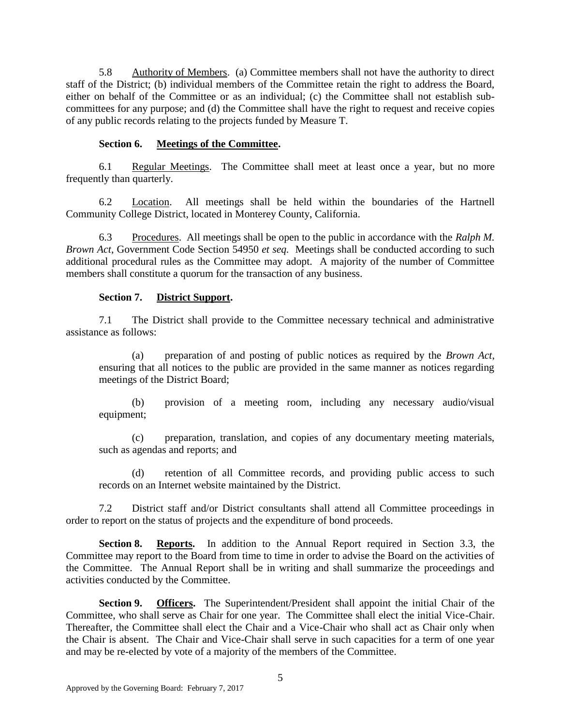5.8 Authority of Members. (a) Committee members shall not have the authority to direct staff of the District; (b) individual members of the Committee retain the right to address the Board, either on behalf of the Committee or as an individual; (c) the Committee shall not establish subcommittees for any purpose; and (d) the Committee shall have the right to request and receive copies of any public records relating to the projects funded by Measure T.

# **Section 6. Meetings of the Committee.**

6.1 Regular Meetings. The Committee shall meet at least once a year, but no more frequently than quarterly.

6.2 Location. All meetings shall be held within the boundaries of the Hartnell Community College District, located in Monterey County, California.

6.3 Procedures. All meetings shall be open to the public in accordance with the *Ralph M. Brown Act*, Government Code Section 54950 *et seq.* Meetings shall be conducted according to such additional procedural rules as the Committee may adopt. A majority of the number of Committee members shall constitute a quorum for the transaction of any business.

# **Section 7. District Support.**

7.1 The District shall provide to the Committee necessary technical and administrative assistance as follows:

(a) preparation of and posting of public notices as required by the *Brown Act*, ensuring that all notices to the public are provided in the same manner as notices regarding meetings of the District Board;

(b) provision of a meeting room, including any necessary audio/visual equipment;

(c) preparation, translation, and copies of any documentary meeting materials, such as agendas and reports; and

(d) retention of all Committee records, and providing public access to such records on an Internet website maintained by the District.

7.2 District staff and/or District consultants shall attend all Committee proceedings in order to report on the status of projects and the expenditure of bond proceeds.

**Section 8. Reports.** In addition to the Annual Report required in Section 3.3, the Committee may report to the Board from time to time in order to advise the Board on the activities of the Committee. The Annual Report shall be in writing and shall summarize the proceedings and activities conducted by the Committee.

**Section 9. Officers.** The Superintendent/President shall appoint the initial Chair of the Committee, who shall serve as Chair for one year. The Committee shall elect the initial Vice-Chair. Thereafter, the Committee shall elect the Chair and a Vice-Chair who shall act as Chair only when the Chair is absent. The Chair and Vice-Chair shall serve in such capacities for a term of one year and may be re-elected by vote of a majority of the members of the Committee.